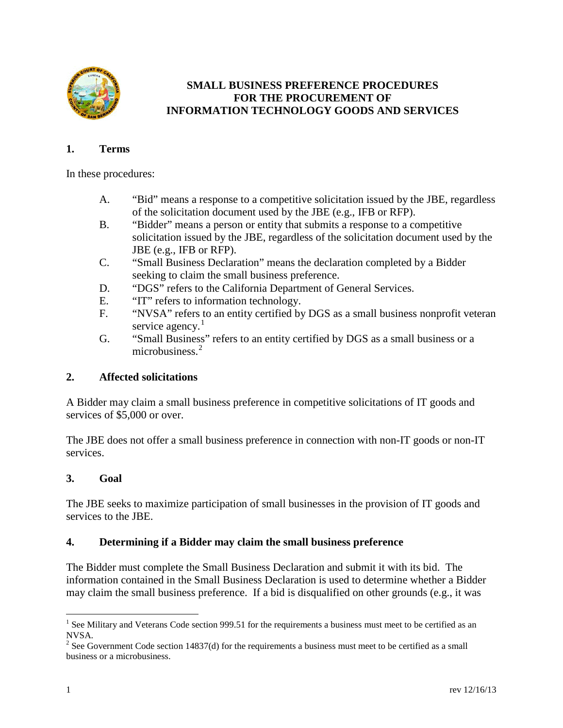

# **SMALL BUSINESS PREFERENCE PROCEDURES FOR THE PROCUREMENT OF INFORMATION TECHNOLOGY GOODS AND SERVICES**

# **1. Terms**

In these procedures:

- A. "Bid" means a response to a competitive solicitation issued by the JBE, regardless of the solicitation document used by the JBE (e.g., IFB or RFP).
- B. "Bidder" means a person or entity that submits a response to a competitive solicitation issued by the JBE, regardless of the solicitation document used by the JBE (e.g., IFB or RFP).
- C. "Small Business Declaration" means the declaration completed by a Bidder seeking to claim the small business preference.
- D. "DGS" refers to the California Department of General Services.
- E. "IT" refers to information technology.
- F. "NVSA" refers to an entity certified by DGS as a small business nonprofit veteran service agency. $1$
- G. "Small Business" refers to an entity certified by DGS as a small business or a microbusiness.<sup>[2](#page-0-1)</sup>

# **2. Affected solicitations**

A Bidder may claim a small business preference in competitive solicitations of IT goods and services of \$5,000 or over.

The JBE does not offer a small business preference in connection with non-IT goods or non-IT services.

# **3. Goal**

The JBE seeks to maximize participation of small businesses in the provision of IT goods and services to the JBE.

# **4. Determining if a Bidder may claim the small business preference**

The Bidder must complete the Small Business Declaration and submit it with its bid. The information contained in the Small Business Declaration is used to determine whether a Bidder may claim the small business preference. If a bid is disqualified on other grounds (e.g., it was

<span id="page-0-0"></span><sup>&</sup>lt;sup>1</sup> See Military and Veterans Code section 999.51 for the requirements a business must meet to be certified as an NVSA.

<span id="page-0-1"></span><sup>&</sup>lt;sup>2</sup> See Government Code section 14837(d) for the requirements a business must meet to be certified as a small business or a microbusiness.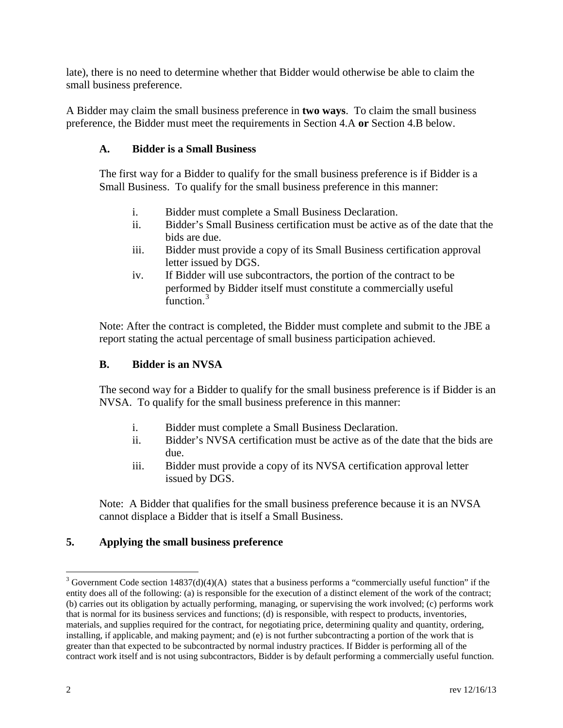late), there is no need to determine whether that Bidder would otherwise be able to claim the small business preference.

A Bidder may claim the small business preference in **two ways**. To claim the small business preference, the Bidder must meet the requirements in Section 4.A **or** Section 4.B below.

### **A. Bidder is a Small Business**

The first way for a Bidder to qualify for the small business preference is if Bidder is a Small Business. To qualify for the small business preference in this manner:

- i. Bidder must complete a Small Business Declaration.
- ii. Bidder's Small Business certification must be active as of the date that the bids are due.
- iii. Bidder must provide a copy of its Small Business certification approval letter issued by DGS.
- iv. If Bidder will use subcontractors, the portion of the contract to be performed by Bidder itself must constitute a commercially useful function.<sup>[3](#page-1-0)</sup>

Note: After the contract is completed, the Bidder must complete and submit to the JBE a report stating the actual percentage of small business participation achieved.

### **B. Bidder is an NVSA**

The second way for a Bidder to qualify for the small business preference is if Bidder is an NVSA. To qualify for the small business preference in this manner:

- i. Bidder must complete a Small Business Declaration.
- ii. Bidder's NVSA certification must be active as of the date that the bids are due.
- iii. Bidder must provide a copy of its NVSA certification approval letter issued by DGS.

Note: A Bidder that qualifies for the small business preference because it is an NVSA cannot displace a Bidder that is itself a Small Business.

# **5. Applying the small business preference**

<span id="page-1-0"></span> $3$  Government Code section 14837(d)(4)(A) states that a business performs a "commercially useful function" if the entity does all of the following: (a) is responsible for the execution of a distinct element of the work of the contract; (b) carries out its obligation by actually performing, managing, or supervising the work involved; (c) performs work that is normal for its business services and functions; (d) is responsible, with respect to products, inventories, materials, and supplies required for the contract, for negotiating price, determining quality and quantity, ordering, installing, if applicable, and making payment; and (e) is not further subcontracting a portion of the work that is greater than that expected to be subcontracted by normal industry practices. If Bidder is performing all of the contract work itself and is not using subcontractors, Bidder is by default performing a commercially useful function.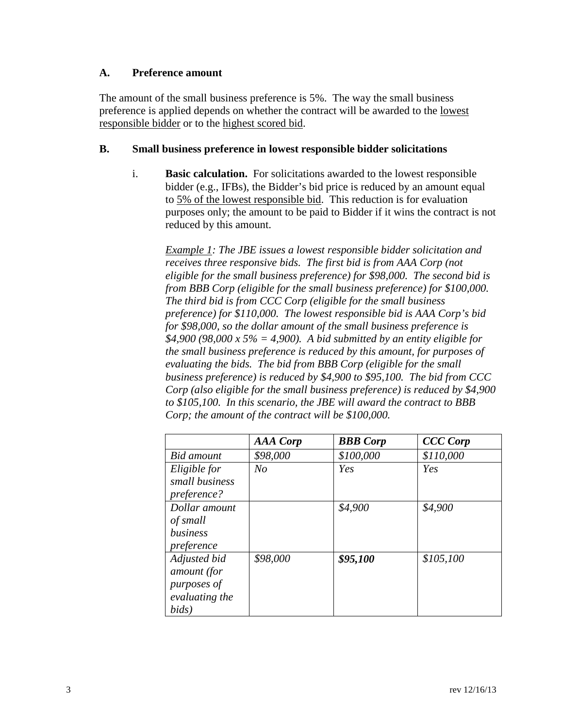### **A. Preference amount**

The amount of the small business preference is 5%. The way the small business preference is applied depends on whether the contract will be awarded to the lowest responsible bidder or to the highest scored bid.

### **B. Small business preference in lowest responsible bidder solicitations**

i. **Basic calculation.** For solicitations awarded to the lowest responsible bidder (e.g., IFBs), the Bidder's bid price is reduced by an amount equal to 5% of the lowest responsible bid. This reduction is for evaluation purposes only; the amount to be paid to Bidder if it wins the contract is not reduced by this amount.

*Example 1: The JBE issues a lowest responsible bidder solicitation and receives three responsive bids. The first bid is from AAA Corp (not eligible for the small business preference) for \$98,000. The second bid is from BBB Corp (eligible for the small business preference) for \$100,000. The third bid is from CCC Corp (eligible for the small business preference) for \$110,000. The lowest responsible bid is AAA Corp's bid for \$98,000, so the dollar amount of the small business preference is \$4,900 (98,000 x 5% = 4,900). A bid submitted by an entity eligible for the small business preference is reduced by this amount, for purposes of evaluating the bids. The bid from BBB Corp (eligible for the small business preference) is reduced by \$4,900 to \$95,100. The bid from CCC Corp (also eligible for the small business preference) is reduced by \$4,900 to \$105,100. In this scenario, the JBE will award the contract to BBB Corp; the amount of the contract will be \$100,000.*

|                   | <b>AAA</b> Corp | <b>BBB</b> Corp | <b>CCC Corp</b> |
|-------------------|-----------------|-----------------|-----------------|
| <b>Bid</b> amount | \$98,000        | \$100,000       | \$110,000       |
| Eligible for      | $N_{O}$         | Yes             | Yes             |
| small business    |                 |                 |                 |
| preference?       |                 |                 |                 |
| Dollar amount     |                 | \$4,900         | \$4,900         |
| of small          |                 |                 |                 |
| business          |                 |                 |                 |
| preference        |                 |                 |                 |
| Adjusted bid      | \$98,000        | \$95,100        | \$105,100       |
| amount (for       |                 |                 |                 |
| purposes of       |                 |                 |                 |
| evaluating the    |                 |                 |                 |
| bids)             |                 |                 |                 |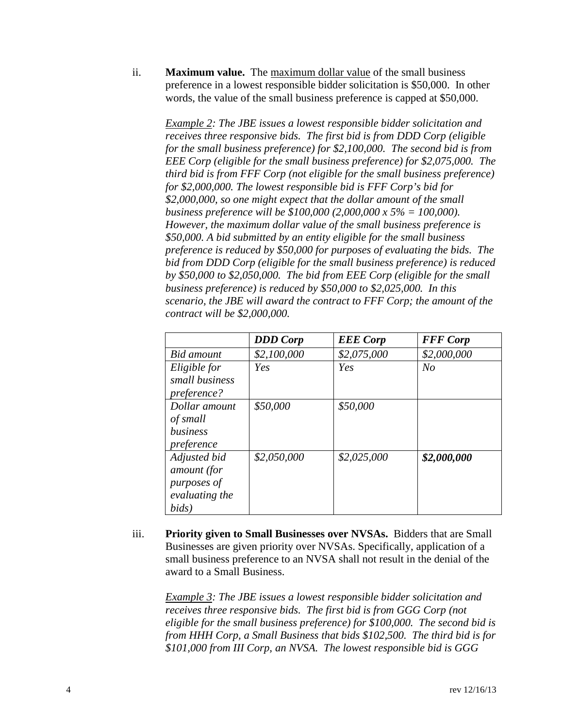ii. **Maximum value.** The maximum dollar value of the small business preference in a lowest responsible bidder solicitation is \$50,000. In other words, the value of the small business preference is capped at \$50,000.

*Example 2: The JBE issues a lowest responsible bidder solicitation and receives three responsive bids. The first bid is from DDD Corp (eligible for the small business preference) for \$2,100,000. The second bid is from EEE Corp (eligible for the small business preference) for \$2,075,000. The third bid is from FFF Corp (not eligible for the small business preference) for \$2,000,000. The lowest responsible bid is FFF Corp's bid for \$2,000,000, so one might expect that the dollar amount of the small business preference will be \$100,000 (2,000,000 x 5% = 100,000). However, the maximum dollar value of the small business preference is \$50,000. A bid submitted by an entity eligible for the small business preference is reduced by \$50,000 for purposes of evaluating the bids. The bid from DDD Corp (eligible for the small business preference) is reduced by \$50,000 to \$2,050,000. The bid from EEE Corp (eligible for the small business preference) is reduced by \$50,000 to \$2,025,000. In this scenario, the JBE will award the contract to FFF Corp; the amount of the contract will be \$2,000,000.*

|                | <b>DDD</b> Corp | <b>EEE</b> Corp | <b>FFF</b> Corp |
|----------------|-----------------|-----------------|-----------------|
| Bid amount     | \$2,100,000     | \$2,075,000     | \$2,000,000     |
| Eligible for   | Yes             | Yes             | $N_{O}$         |
| small business |                 |                 |                 |
| preference?    |                 |                 |                 |
| Dollar amount  | \$50,000        | \$50,000        |                 |
| of small       |                 |                 |                 |
| business       |                 |                 |                 |
| preference     |                 |                 |                 |
| Adjusted bid   | \$2,050,000     | \$2,025,000     | \$2,000,000     |
| amount (for    |                 |                 |                 |
| purposes of    |                 |                 |                 |
| evaluating the |                 |                 |                 |
| bids)          |                 |                 |                 |

iii. **Priority given to Small Businesses over NVSAs.** Bidders that are Small Businesses are given priority over NVSAs. Specifically, application of a small business preference to an NVSA shall not result in the denial of the award to a Small Business.

*Example 3: The JBE issues a lowest responsible bidder solicitation and receives three responsive bids. The first bid is from GGG Corp (not eligible for the small business preference) for \$100,000. The second bid is from HHH Corp, a Small Business that bids \$102,500. The third bid is for \$101,000 from III Corp, an NVSA. The lowest responsible bid is GGG*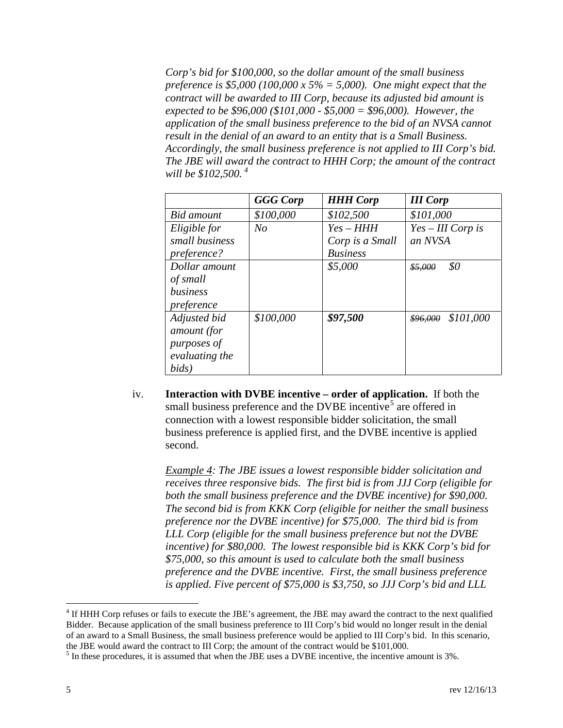*Corp's bid for \$100,000, so the dollar amount of the small business preference is \$5,000 (100,000 x 5% = 5,000). One might expect that the contract will be awarded to III Corp, because its adjusted bid amount is expected to be \$96,000 (\$101,000 - \$5,000 = \$96,000). However, the application of the small business preference to the bid of an NVSA cannot result in the denial of an award to an entity that is a Small Business. Accordingly, the small business preference is not applied to III Corp's bid. The JBE will award the contract to HHH Corp; the amount of the contract will be \$102,500. [4](#page-4-0)*

|                | <b>GGG Corp</b> | <b>HHH Corp</b> | <b>III</b> Corp       |
|----------------|-----------------|-----------------|-----------------------|
| Bid amount     | \$100,000       | \$102,500       | \$101,000             |
| Eligible for   | No              | $Yes-HHH$       | $Yes-III$ Corp is     |
| small business |                 | Corp is a Small | an NVSA               |
| preference?    |                 | <b>Business</b> |                       |
| Dollar amount  |                 | \$5,000         | \$0<br>\$5,000        |
| of small       |                 |                 |                       |
| business       |                 |                 |                       |
| preference     |                 |                 |                       |
| Adjusted bid   | \$100,000       | \$97,500        | \$101,000<br>\$96,000 |
| amount (for    |                 |                 |                       |
| purposes of    |                 |                 |                       |
| evaluating the |                 |                 |                       |
| bids)          |                 |                 |                       |

iv. **Interaction with DVBE incentive – order of application.** If both the small business preference and the DVBE incentive<sup>[5](#page-4-1)</sup> are offered in connection with a lowest responsible bidder solicitation, the small business preference is applied first, and the DVBE incentive is applied second.

*Example 4: The JBE issues a lowest responsible bidder solicitation and receives three responsive bids. The first bid is from JJJ Corp (eligible for both the small business preference and the DVBE incentive) for \$90,000. The second bid is from KKK Corp (eligible for neither the small business preference nor the DVBE incentive) for \$75,000. The third bid is from LLL Corp (eligible for the small business preference but not the DVBE incentive) for \$80,000. The lowest responsible bid is KKK Corp's bid for \$75,000, so this amount is used to calculate both the small business preference and the DVBE incentive. First, the small business preference is applied. Five percent of \$75,000 is \$3,750, so JJJ Corp's bid and LLL*

<span id="page-4-0"></span><sup>&</sup>lt;sup>4</sup> If HHH Corp refuses or fails to execute the JBE's agreement, the JBE may award the contract to the next qualified Bidder. Because application of the small business preference to III Corp's bid would no longer result in the denial of an award to a Small Business, the small business preference would be applied to III Corp's bid. In this scenario, the JBE would award the contract to III Corp; the amount of the contract would be \$101,000.

<span id="page-4-1"></span> $<sup>5</sup>$  In these procedures, it is assumed that when the JBE uses a DVBE incentive, the incentive amount is 3%.</sup>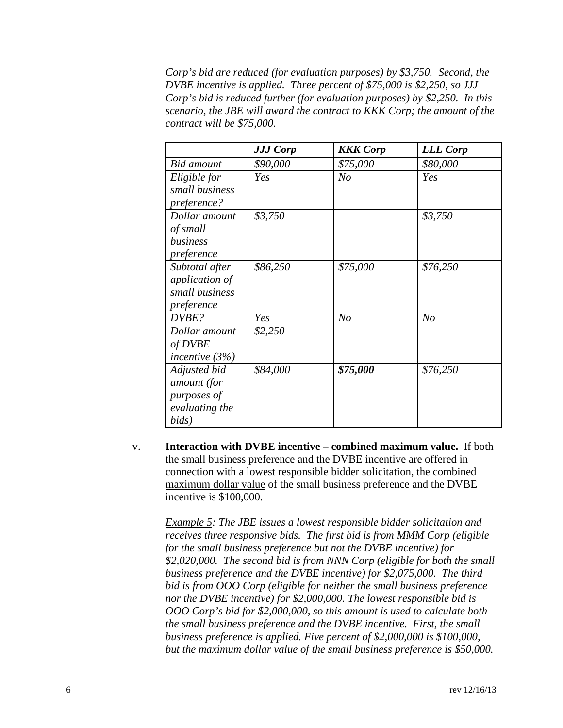*Corp's bid are reduced (for evaluation purposes) by \$3,750. Second, the DVBE incentive is applied. Three percent of \$75,000 is \$2,250, so JJJ Corp's bid is reduced further (for evaluation purposes) by \$2,250. In this scenario, the JBE will award the contract to KKK Corp; the amount of the contract will be \$75,000.*

|                  | <b>JJJ Corp</b> | <b>KKK</b> Corp | <b>LLL Corp</b> |
|------------------|-----------------|-----------------|-----------------|
| Bid amount       | \$90,000        | \$75,000        | \$80,000        |
| Eligible for     | Yes             | N <sub>O</sub>  | Yes             |
| small business   |                 |                 |                 |
| preference?      |                 |                 |                 |
| Dollar amount    | \$3,750         |                 | \$3,750         |
| of small         |                 |                 |                 |
| business         |                 |                 |                 |
| preference       |                 |                 |                 |
| Subtotal after   | \$86,250        | \$75,000        | \$76,250        |
| application of   |                 |                 |                 |
| small business   |                 |                 |                 |
| preference       |                 |                 |                 |
| DVBE?            | Yes             | N <sub>O</sub>  | N <sub>o</sub>  |
| Dollar amount    | \$2,250         |                 |                 |
| of DVBE          |                 |                 |                 |
| incentive $(3%)$ |                 |                 |                 |
| Adjusted bid     | \$84,000        | \$75,000        | \$76,250        |
| amount (for      |                 |                 |                 |
| purposes of      |                 |                 |                 |
| evaluating the   |                 |                 |                 |
| bids)            |                 |                 |                 |

v. **Interaction with DVBE incentive – combined maximum value.** If both the small business preference and the DVBE incentive are offered in connection with a lowest responsible bidder solicitation, the combined maximum dollar value of the small business preference and the DVBE incentive is \$100,000.

*Example 5: The JBE issues a lowest responsible bidder solicitation and receives three responsive bids. The first bid is from MMM Corp (eligible for the small business preference but not the DVBE incentive) for \$2,020,000. The second bid is from NNN Corp (eligible for both the small business preference and the DVBE incentive) for \$2,075,000. The third bid is from OOO Corp (eligible for neither the small business preference nor the DVBE incentive) for \$2,000,000. The lowest responsible bid is OOO Corp's bid for \$2,000,000, so this amount is used to calculate both the small business preference and the DVBE incentive. First, the small business preference is applied. Five percent of \$2,000,000 is \$100,000, but the maximum dollar value of the small business preference is \$50,000.*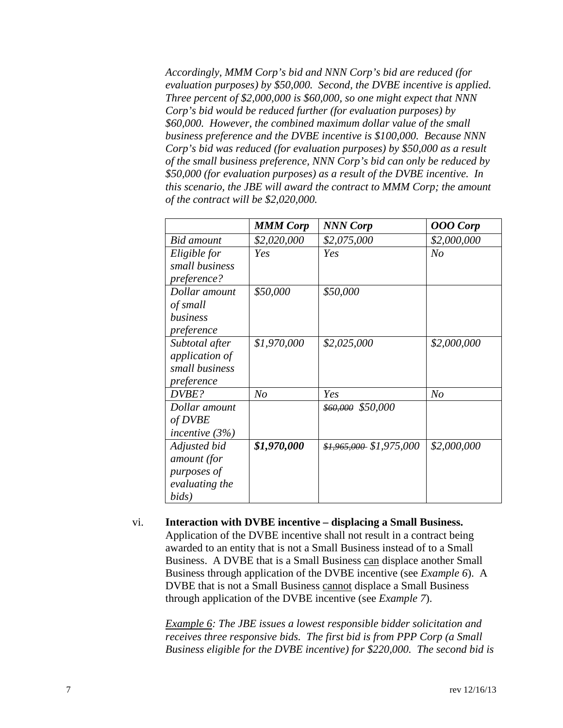*Accordingly, MMM Corp's bid and NNN Corp's bid are reduced (for evaluation purposes) by \$50,000. Second, the DVBE incentive is applied. Three percent of \$2,000,000 is \$60,000, so one might expect that NNN Corp's bid would be reduced further (for evaluation purposes) by \$60,000. However, the combined maximum dollar value of the small business preference and the DVBE incentive is \$100,000. Because NNN Corp's bid was reduced (for evaluation purposes) by \$50,000 as a result of the small business preference, NNN Corp's bid can only be reduced by \$50,000 (for evaluation purposes) as a result of the DVBE incentive. In this scenario, the JBE will award the contract to MMM Corp; the amount of the contract will be \$2,020,000.*

|                                                                         | <b>MMM Corp</b> | <b>NNN Corp</b>           | <b>OOO</b> Corp |
|-------------------------------------------------------------------------|-----------------|---------------------------|-----------------|
| Bid amount                                                              | \$2,020,000     | \$2,075,000               | \$2,000,000     |
| Eligible for<br>small business                                          | Yes             | Yes                       | No              |
| preference?                                                             |                 |                           |                 |
| Dollar amount<br>of small<br>business<br>preference                     | \$50,000        | \$50,000                  |                 |
| Subtotal after<br><i>application of</i><br>small business<br>preference | \$1,970,000     | \$2,025,000               | \$2,000,000     |
| DVBE?                                                                   | N <sub>o</sub>  | Yes                       | N <sub>O</sub>  |
| Dollar amount<br>of DVBE<br>incentive $(3%)$                            |                 | \$60,000 \$50,000         |                 |
| Adjusted bid<br>amount (for<br>purposes of<br>evaluating the<br>bids)   | \$1,970,000     | $$1,965,000$ $$1,975,000$ | \$2,000,000     |

vi. **Interaction with DVBE incentive – displacing a Small Business.**  Application of the DVBE incentive shall not result in a contract being awarded to an entity that is not a Small Business instead of to a Small Business. A DVBE that is a Small Business can displace another Small Business through application of the DVBE incentive (see *Example 6*). A DVBE that is not a Small Business cannot displace a Small Business through application of the DVBE incentive (see *Example 7*).

*Example 6: The JBE issues a lowest responsible bidder solicitation and receives three responsive bids. The first bid is from PPP Corp (a Small Business eligible for the DVBE incentive) for \$220,000. The second bid is*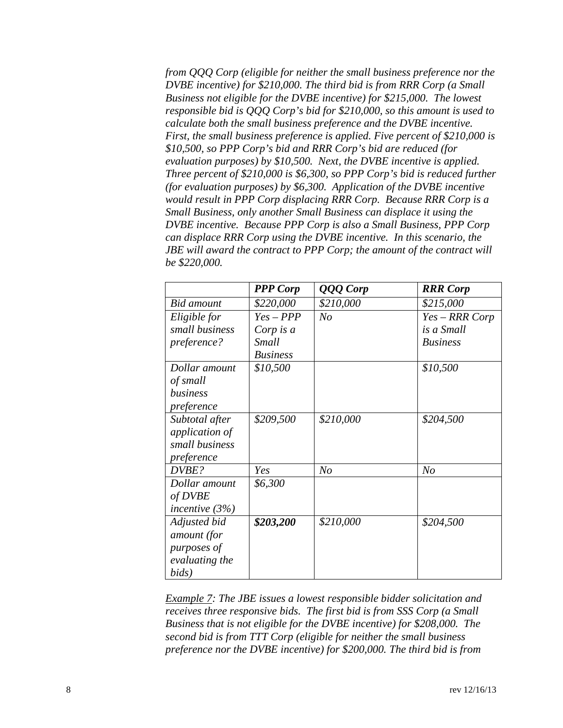*from QQQ Corp (eligible for neither the small business preference nor the DVBE incentive) for \$210,000. The third bid is from RRR Corp (a Small Business not eligible for the DVBE incentive) for \$215,000. The lowest responsible bid is QQQ Corp's bid for \$210,000, so this amount is used to calculate both the small business preference and the DVBE incentive. First, the small business preference is applied. Five percent of \$210,000 is \$10,500, so PPP Corp's bid and RRR Corp's bid are reduced (for evaluation purposes) by \$10,500. Next, the DVBE incentive is applied. Three percent of \$210,000 is \$6,300, so PPP Corp's bid is reduced further (for evaluation purposes) by \$6,300. Application of the DVBE incentive would result in PPP Corp displacing RRR Corp. Because RRR Corp is a Small Business, only another Small Business can displace it using the DVBE incentive. Because PPP Corp is also a Small Business, PPP Corp can displace RRR Corp using the DVBE incentive. In this scenario, the JBE will award the contract to PPP Corp; the amount of the contract will be \$220,000.*

|                   | <b>PPP</b> Corp | QQQ Corp       | <b>RRR</b> Corp |
|-------------------|-----------------|----------------|-----------------|
| <b>Bid</b> amount | \$220,000       | \$210,000      | \$215,000       |
| Eligible for      | $Yes - PPP$     | No             | Yes - RRR Corp  |
| small business    | Corp is a       |                | is a Small      |
| preference?       | <b>Small</b>    |                | <b>Business</b> |
|                   | <b>Business</b> |                |                 |
| Dollar amount     | \$10,500        |                | \$10,500        |
| of small          |                 |                |                 |
| business          |                 |                |                 |
| preference        |                 |                |                 |
| Subtotal after    | \$209,500       | \$210,000      | \$204,500       |
| application of    |                 |                |                 |
| small business    |                 |                |                 |
| preference        |                 |                |                 |
| DVBE?             | Yes             | N <sub>o</sub> | N <sub>o</sub>  |
| Dollar amount     | \$6,300         |                |                 |
| of DVBE           |                 |                |                 |
| incentive $(3%)$  |                 |                |                 |
| Adjusted bid      | \$203,200       | \$210,000      | \$204,500       |
| amount (for       |                 |                |                 |
| purposes of       |                 |                |                 |
| evaluating the    |                 |                |                 |
| bids)             |                 |                |                 |

*Example 7: The JBE issues a lowest responsible bidder solicitation and receives three responsive bids. The first bid is from SSS Corp (a Small Business that is not eligible for the DVBE incentive) for \$208,000. The second bid is from TTT Corp (eligible for neither the small business preference nor the DVBE incentive) for \$200,000. The third bid is from*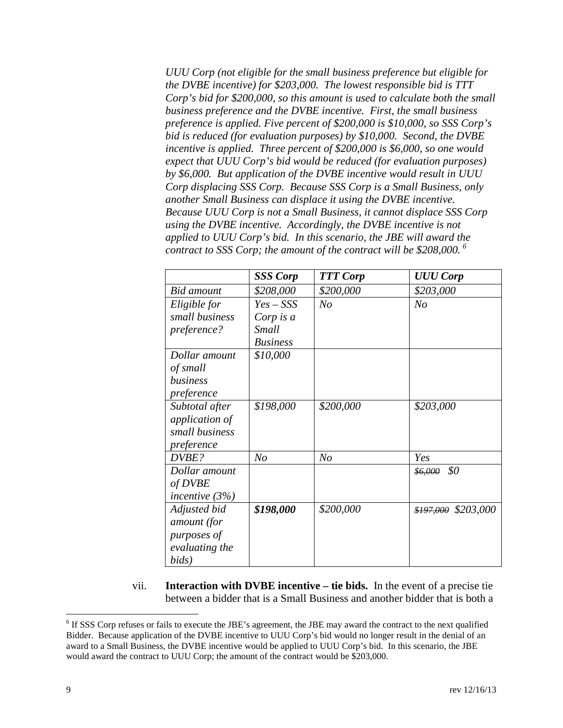*UUU Corp (not eligible for the small business preference but eligible for the DVBE incentive) for \$203,000. The lowest responsible bid is TTT Corp's bid for \$200,000, so this amount is used to calculate both the small business preference and the DVBE incentive. First, the small business preference is applied. Five percent of \$200,000 is \$10,000, so SSS Corp's bid is reduced (for evaluation purposes) by \$10,000. Second, the DVBE incentive is applied. Three percent of \$200,000 is \$6,000, so one would expect that UUU Corp's bid would be reduced (for evaluation purposes) by \$6,000. But application of the DVBE incentive would result in UUU Corp displacing SSS Corp. Because SSS Corp is a Small Business, only another Small Business can displace it using the DVBE incentive. Because UUU Corp is not a Small Business, it cannot displace SSS Corp using the DVBE incentive. Accordingly, the DVBE incentive is not applied to UUU Corp's bid. In this scenario, the JBE will award the contract to SSS Corp; the amount of the contract will be \$208,000. [6](#page-8-0)*

|                   | <b>SSS Corp</b> | <b>TTT Corp</b> | <b>UUU Corp</b>      |
|-------------------|-----------------|-----------------|----------------------|
| <b>Bid</b> amount | \$208,000       | \$200,000       | \$203,000            |
| Eligible for      | $Yes - SSS$     | No              | N <sub>O</sub>       |
| small business    | Corp is a       |                 |                      |
| preference?       | <b>Small</b>    |                 |                      |
|                   | <b>Business</b> |                 |                      |
| Dollar amount     | \$10,000        |                 |                      |
| of small          |                 |                 |                      |
| business          |                 |                 |                      |
| preference        |                 |                 |                      |
| Subtotal after    | \$198,000       | \$200,000       | \$203,000            |
| application of    |                 |                 |                      |
| small business    |                 |                 |                      |
| preference        |                 |                 |                      |
| DVBE?             | N <sub>O</sub>  | N <sub>O</sub>  | Yes                  |
| Dollar amount     |                 |                 | \$0<br>\$6,000       |
| of DVBE           |                 |                 |                      |
| incentive $(3%)$  |                 |                 |                      |
| Adjusted bid      | \$198,000       | \$200,000       | $$197,000$ \$203,000 |
| amount (for       |                 |                 |                      |
| purposes of       |                 |                 |                      |
| evaluating the    |                 |                 |                      |
| bids)             |                 |                 |                      |

vii. **Interaction with DVBE incentive – tie bids.** In the event of a precise tie between a bidder that is a Small Business and another bidder that is both a

<span id="page-8-0"></span><sup>&</sup>lt;sup>6</sup> If SSS Corp refuses or fails to execute the JBE's agreement, the JBE may award the contract to the next qualified Bidder. Because application of the DVBE incentive to UUU Corp's bid would no longer result in the denial of an award to a Small Business, the DVBE incentive would be applied to UUU Corp's bid. In this scenario, the JBE would award the contract to UUU Corp; the amount of the contract would be \$203,000.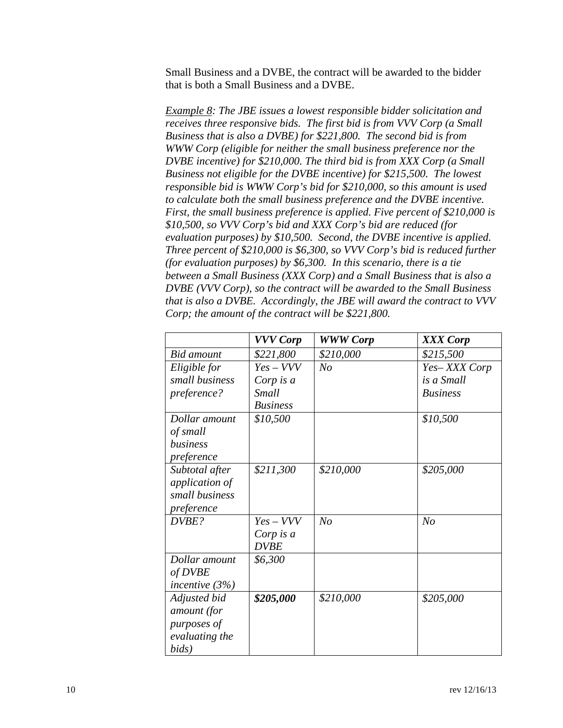Small Business and a DVBE, the contract will be awarded to the bidder that is both a Small Business and a DVBE.

*Example 8: The JBE issues a lowest responsible bidder solicitation and receives three responsive bids. The first bid is from VVV Corp (a Small Business that is also a DVBE) for \$221,800. The second bid is from WWW Corp (eligible for neither the small business preference nor the DVBE incentive) for \$210,000. The third bid is from XXX Corp (a Small Business not eligible for the DVBE incentive) for \$215,500. The lowest responsible bid is WWW Corp's bid for \$210,000, so this amount is used to calculate both the small business preference and the DVBE incentive. First, the small business preference is applied. Five percent of \$210,000 is \$10,500, so VVV Corp's bid and XXX Corp's bid are reduced (for evaluation purposes) by \$10,500. Second, the DVBE incentive is applied. Three percent of \$210,000 is \$6,300, so VVV Corp's bid is reduced further (for evaluation purposes) by \$6,300. In this scenario, there is a tie between a Small Business (XXX Corp) and a Small Business that is also a DVBE (VVV Corp), so the contract will be awarded to the Small Business that is also a DVBE. Accordingly, the JBE will award the contract to VVV Corp; the amount of the contract will be \$221,800.*

|                   | <b>VVV Corp</b> | <b>WWW Corp</b> | XXX Corp        |
|-------------------|-----------------|-----------------|-----------------|
| <b>Bid</b> amount | \$221,800       | \$210,000       | \$215,500       |
| Eligible for      | $Yes-VVV$       | No              | Yes-XXX Corp    |
| small business    | Corp is $a$     |                 | is a Small      |
| preference?       | <b>Small</b>    |                 | <b>Business</b> |
|                   | <b>Business</b> |                 |                 |
| Dollar amount     | \$10,500        |                 | \$10,500        |
| of small          |                 |                 |                 |
| business          |                 |                 |                 |
| preference        |                 |                 |                 |
| Subtotal after    | \$211,300       | \$210,000       | \$205,000       |
| application of    |                 |                 |                 |
| small business    |                 |                 |                 |
| preference        |                 |                 |                 |
| DVBE?             | $Yes-VVV$       | No              | N <sub>o</sub>  |
|                   | Corp is a       |                 |                 |
|                   | <b>DVBE</b>     |                 |                 |
| Dollar amount     | \$6,300         |                 |                 |
| of DVBE           |                 |                 |                 |
| incentive $(3%)$  |                 |                 |                 |
| Adjusted bid      | \$205,000       | \$210,000       | \$205,000       |
| amount (for       |                 |                 |                 |
| purposes of       |                 |                 |                 |
| evaluating the    |                 |                 |                 |
| bids)             |                 |                 |                 |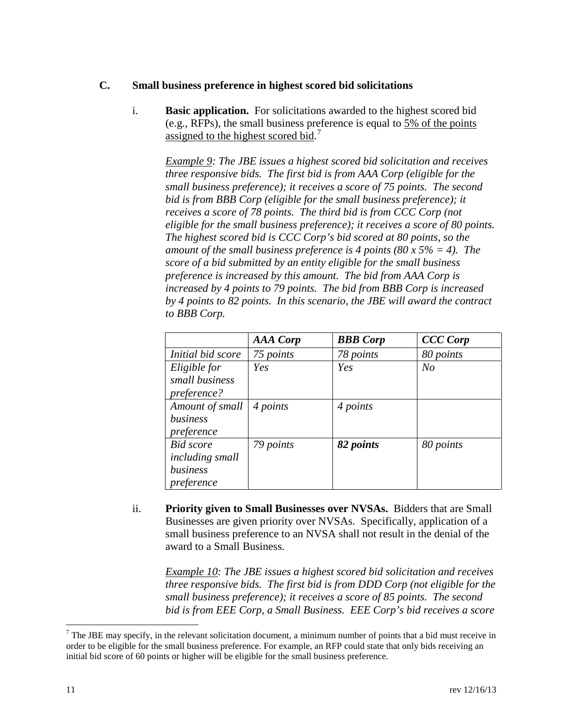#### **C. Small business preference in highest scored bid solicitations**

i. **Basic application.** For solicitations awarded to the highest scored bid (e.g., RFPs), the small business preference is equal to  $5\%$  of the points assigned to the highest scored bid.<sup>[7](#page-10-0)</sup>

*Example 9: The JBE issues a highest scored bid solicitation and receives three responsive bids. The first bid is from AAA Corp (eligible for the small business preference); it receives a score of 75 points. The second bid is from BBB Corp (eligible for the small business preference); it receives a score of 78 points. The third bid is from CCC Corp (not eligible for the small business preference); it receives a score of 80 points. The highest scored bid is CCC Corp's bid scored at 80 points, so the amount of the small business preference is 4 points (80 x 5% = 4). The score of a bid submitted by an entity eligible for the small business preference is increased by this amount. The bid from AAA Corp is increased by 4 points to 79 points. The bid from BBB Corp is increased by 4 points to 82 points. In this scenario, the JBE will award the contract to BBB Corp.*

|                        | <b>AAA</b> Corp | <b>BBB</b> Corp | <b>CCC</b> Corp |
|------------------------|-----------------|-----------------|-----------------|
| Initial bid score      | 75 points       | 78 points       | 80 points       |
| Eligible for           | Yes             | Yes             | N <sub>o</sub>  |
| small business         |                 |                 |                 |
| <i>preference?</i>     |                 |                 |                 |
| Amount of small        | 4 points        | 4 points        |                 |
| business               |                 |                 |                 |
| preference             |                 |                 |                 |
| <b>Bid</b> score       | 79 points       | 82 points       | 80 points       |
| <i>including small</i> |                 |                 |                 |
| business               |                 |                 |                 |
| preference             |                 |                 |                 |

ii. **Priority given to Small Businesses over NVSAs.** Bidders that are Small Businesses are given priority over NVSAs. Specifically, application of a small business preference to an NVSA shall not result in the denial of the award to a Small Business.

*Example 10: The JBE issues a highest scored bid solicitation and receives three responsive bids. The first bid is from DDD Corp (not eligible for the small business preference); it receives a score of 85 points. The second bid is from EEE Corp, a Small Business. EEE Corp's bid receives a score* 

<span id="page-10-0"></span> $<sup>7</sup>$  The JBE may specify, in the relevant solicitation document, a minimum number of points that a bid must receive in</sup> order to be eligible for the small business preference. For example, an RFP could state that only bids receiving an initial bid score of 60 points or higher will be eligible for the small business preference.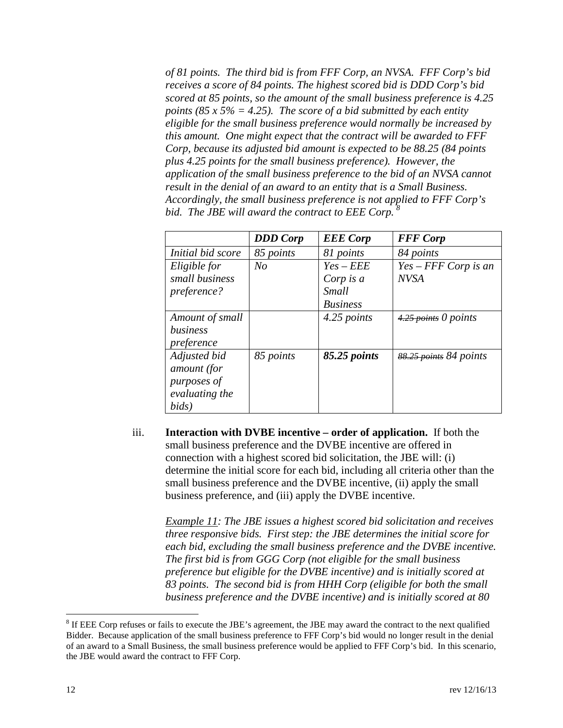*of 81 points. The third bid is from FFF Corp, an NVSA. FFF Corp's bid receives a score of 84 points. The highest scored bid is DDD Corp's bid scored at 85 points, so the amount of the small business preference is 4.25 points (85 x 5% = 4.25). The score of a bid submitted by each entity eligible for the small business preference would normally be increased by this amount. One might expect that the contract will be awarded to FFF Corp, because its adjusted bid amount is expected to be 88.25 (84 points plus 4.25 points for the small business preference). However, the application of the small business preference to the bid of an NVSA cannot result in the denial of an award to an entity that is a Small Business. Accordingly, the small business preference is not applied to FFF Corp's bid. The JBE will award the contract to EEE Corp. [8](#page-11-0)*

|                   | <b>DDD</b> Corp | <b>EEE</b> Corp | <b>FFF</b> Corp        |
|-------------------|-----------------|-----------------|------------------------|
| Initial bid score | 85 points       | 81 points       | 84 points              |
| Eligible for      | $N_{O}$         | $Yes - EEE$     | $Yes - FFF Corp$ is an |
| small business    |                 | Corp is a       | <b>NVSA</b>            |
| preference?       |                 | Small           |                        |
|                   |                 | <b>Business</b> |                        |
| Amount of small   |                 | 4.25 points     | $4.25$ points 0 points |
| business          |                 |                 |                        |
| preference        |                 |                 |                        |
| Adjusted bid      | 85 points       | 85.25 points    | 88.25 points 84 points |
| amount (for       |                 |                 |                        |
| purposes of       |                 |                 |                        |
| evaluating the    |                 |                 |                        |
| bids)             |                 |                 |                        |

iii. **Interaction with DVBE incentive – order of application.** If both the small business preference and the DVBE incentive are offered in connection with a highest scored bid solicitation, the JBE will: (i) determine the initial score for each bid, including all criteria other than the small business preference and the DVBE incentive, (ii) apply the small business preference, and (iii) apply the DVBE incentive.

*Example 11: The JBE issues a highest scored bid solicitation and receives three responsive bids. First step: the JBE determines the initial score for each bid, excluding the small business preference and the DVBE incentive. The first bid is from GGG Corp (not eligible for the small business preference but eligible for the DVBE incentive) and is initially scored at 83 points. The second bid is from HHH Corp (eligible for both the small business preference and the DVBE incentive) and is initially scored at 80* 

<span id="page-11-0"></span><sup>&</sup>lt;sup>8</sup> If EEE Corp refuses or fails to execute the JBE's agreement, the JBE may award the contract to the next qualified Bidder. Because application of the small business preference to FFF Corp's bid would no longer result in the denial of an award to a Small Business, the small business preference would be applied to FFF Corp's bid. In this scenario, the JBE would award the contract to FFF Corp.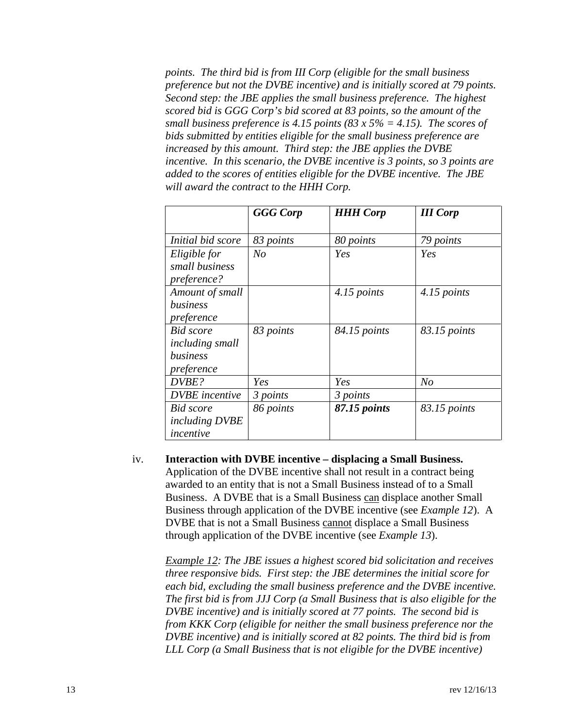*points. The third bid is from III Corp (eligible for the small business preference but not the DVBE incentive) and is initially scored at 79 points. Second step: the JBE applies the small business preference. The highest scored bid is GGG Corp's bid scored at 83 points, so the amount of the small business preference is 4.15 points (83 x 5% = 4.15). The scores of bids submitted by entities eligible for the small business preference are increased by this amount. Third step: the JBE applies the DVBE incentive. In this scenario, the DVBE incentive is 3 points, so 3 points are added to the scores of entities eligible for the DVBE incentive. The JBE will award the contract to the HHH Corp.*

|                        | <b>GGG</b> Corp | <b>HHH Corp</b> | <b>III</b> Corp |
|------------------------|-----------------|-----------------|-----------------|
|                        |                 |                 |                 |
| Initial bid score      | 83 points       | 80 points       | 79 points       |
| Eligible for           | $N_{O}$         | Yes             | Yes             |
| small business         |                 |                 |                 |
| preference?            |                 |                 |                 |
| Amount of small        |                 | 4.15 points     | 4.15 points     |
| business               |                 |                 |                 |
| preference             |                 |                 |                 |
| <b>Bid</b> score       | 83 points       | 84.15 points    | 83.15 points    |
| <i>including small</i> |                 |                 |                 |
| business               |                 |                 |                 |
| preference             |                 |                 |                 |
| DVBE?                  | Yes             | Yes             | No              |
| <b>DVBE</b> incentive  | 3 points        | 3 points        |                 |
| <b>Bid</b> score       | 86 points       | 87.15 points    | 83.15 points    |
| <i>including DVBE</i>  |                 |                 |                 |
| incentive              |                 |                 |                 |

iv. **Interaction with DVBE incentive – displacing a Small Business.**  Application of the DVBE incentive shall not result in a contract being awarded to an entity that is not a Small Business instead of to a Small Business. A DVBE that is a Small Business can displace another Small Business through application of the DVBE incentive (see *Example 12*). A DVBE that is not a Small Business cannot displace a Small Business through application of the DVBE incentive (see *Example 13*).

*Example 12: The JBE issues a highest scored bid solicitation and receives three responsive bids. First step: the JBE determines the initial score for each bid, excluding the small business preference and the DVBE incentive. The first bid is from JJJ Corp (a Small Business that is also eligible for the DVBE incentive) and is initially scored at 77 points. The second bid is from KKK Corp (eligible for neither the small business preference nor the DVBE incentive) and is initially scored at 82 points. The third bid is from LLL Corp (a Small Business that is not eligible for the DVBE incentive)*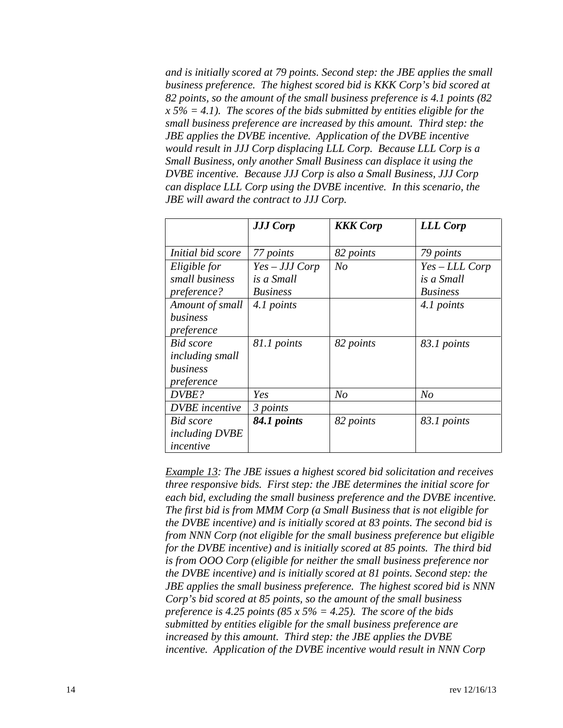*and is initially scored at 79 points. Second step: the JBE applies the small business preference. The highest scored bid is KKK Corp's bid scored at 82 points, so the amount of the small business preference is 4.1 points (82 x 5% = 4.1). The scores of the bids submitted by entities eligible for the small business preference are increased by this amount. Third step: the JBE applies the DVBE incentive. Application of the DVBE incentive would result in JJJ Corp displacing LLL Corp. Because LLL Corp is a Small Business, only another Small Business can displace it using the DVBE incentive. Because JJJ Corp is also a Small Business, JJJ Corp can displace LLL Corp using the DVBE incentive. In this scenario, the JBE will award the contract to JJJ Corp.*

|                        | <b>JJJ Corp</b> | <b>KKK</b> Corp | <b>LLL Corp</b> |
|------------------------|-----------------|-----------------|-----------------|
|                        |                 |                 |                 |
| Initial bid score      | 77 points       | 82 points       | 79 points       |
| Eligible for           | $Yes-JJJ Corp$  | N <sub>o</sub>  | Yes - LLL Corp  |
| small business         | is a Small      |                 | is a Small      |
| preference?            | <b>Business</b> |                 | <b>Business</b> |
| Amount of small        | 4.1 points      |                 | 4.1 points      |
| business               |                 |                 |                 |
| preference             |                 |                 |                 |
| <b>Bid</b> score       | 81.1 points     | 82 points       | 83.1 points     |
| <i>including small</i> |                 |                 |                 |
| business               |                 |                 |                 |
| preference             |                 |                 |                 |
| DVBE?                  | Yes             | N <sub>o</sub>  | N <sub>o</sub>  |
| <b>DVBE</b> incentive  | 3 points        |                 |                 |
| Bid score              | 84.1 points     | 82 points       | 83.1 points     |
| <i>including DVBE</i>  |                 |                 |                 |
| incentive              |                 |                 |                 |

*Example 13: The JBE issues a highest scored bid solicitation and receives three responsive bids. First step: the JBE determines the initial score for each bid, excluding the small business preference and the DVBE incentive. The first bid is from MMM Corp (a Small Business that is not eligible for the DVBE incentive) and is initially scored at 83 points. The second bid is from NNN Corp (not eligible for the small business preference but eligible for the DVBE incentive) and is initially scored at 85 points. The third bid is from OOO Corp (eligible for neither the small business preference nor the DVBE incentive) and is initially scored at 81 points. Second step: the JBE applies the small business preference. The highest scored bid is NNN Corp's bid scored at 85 points, so the amount of the small business preference is 4.25 points (85 x 5% = 4.25). The score of the bids submitted by entities eligible for the small business preference are increased by this amount. Third step: the JBE applies the DVBE incentive. Application of the DVBE incentive would result in NNN Corp*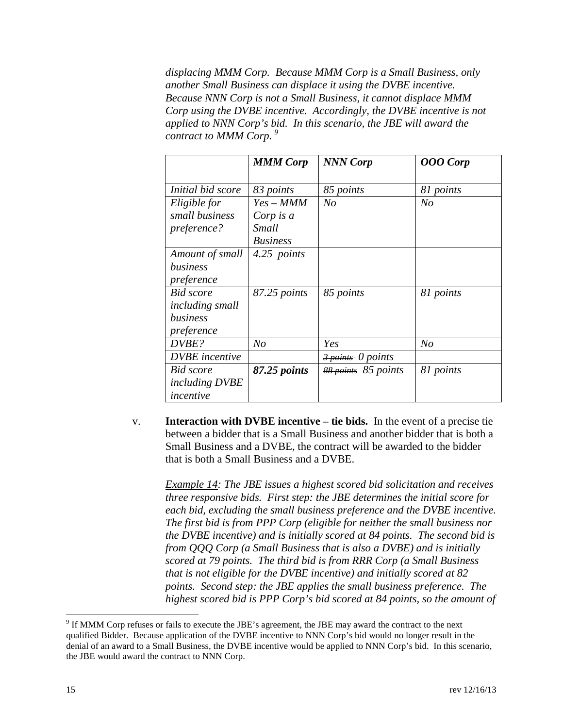*displacing MMM Corp. Because MMM Corp is a Small Business, only another Small Business can displace it using the DVBE incentive. Because NNN Corp is not a Small Business, it cannot displace MMM Corp using the DVBE incentive. Accordingly, the DVBE incentive is not applied to NNN Corp's bid. In this scenario, the JBE will award the contract to MMM Corp. [9](#page-14-0)*

|                       | <b>MMM Corp</b> | <b>NNN Corp</b>                              | <b>OOO</b> Corp |
|-----------------------|-----------------|----------------------------------------------|-----------------|
|                       |                 |                                              |                 |
| Initial bid score     | 83 points       | 85 points                                    | 81 points       |
| Eligible for          | $Yes-MMM$       | N <sub>o</sub>                               | N <sub>o</sub>  |
| small business        | Corp is a       |                                              |                 |
| preference?           | Small           |                                              |                 |
|                       | <b>Business</b> |                                              |                 |
| Amount of small       | 4.25 points     |                                              |                 |
| business              |                 |                                              |                 |
| preference            |                 |                                              |                 |
| Bid score             | 87.25 points    | 85 points                                    | 81 points       |
| including small       |                 |                                              |                 |
| business              |                 |                                              |                 |
| preference            |                 |                                              |                 |
| DVBE?                 | N <sub>O</sub>  | Yes                                          | N <sub>o</sub>  |
| <b>DVBE</b> incentive |                 | $\frac{3 \text{ points}}{20 \text{ points}}$ |                 |
| <b>Bid</b> score      | 87.25 points    | 88 points 85 points                          | 81 points       |
| <i>including DVBE</i> |                 |                                              |                 |
| incentive             |                 |                                              |                 |

v. **Interaction with DVBE incentive – tie bids.** In the event of a precise tie between a bidder that is a Small Business and another bidder that is both a Small Business and a DVBE, the contract will be awarded to the bidder that is both a Small Business and a DVBE.

*Example 14: The JBE issues a highest scored bid solicitation and receives three responsive bids. First step: the JBE determines the initial score for each bid, excluding the small business preference and the DVBE incentive. The first bid is from PPP Corp (eligible for neither the small business nor the DVBE incentive) and is initially scored at 84 points. The second bid is from QQQ Corp (a Small Business that is also a DVBE) and is initially scored at 79 points. The third bid is from RRR Corp (a Small Business that is not eligible for the DVBE incentive) and initially scored at 82 points. Second step: the JBE applies the small business preference. The highest scored bid is PPP Corp's bid scored at 84 points, so the amount of* 

<span id="page-14-0"></span> $9$  If MMM Corp refuses or fails to execute the JBE's agreement, the JBE may award the contract to the next qualified Bidder. Because application of the DVBE incentive to NNN Corp's bid would no longer result in the denial of an award to a Small Business, the DVBE incentive would be applied to NNN Corp's bid. In this scenario, the JBE would award the contract to NNN Corp.